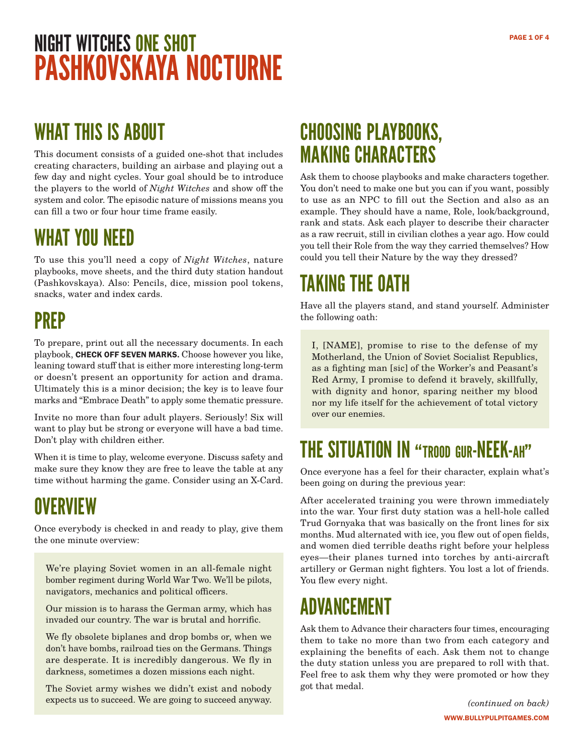## NIGHT WITCHES ONE SHOT PASHKOVSKAYA NOCTURNE

### WHAT THIS IS ABOUT

This document consists of a guided one-shot that includes creating characters, building an airbase and playing out a few day and night cycles. Your goal should be to introduce the players to the world of *Night Witches* and show off the system and color. The episodic nature of missions means you can fill a two or four hour time frame easily.

#### WHAT YOU NEED

To use this you'll need a copy of *Night Witches*, nature playbooks, move sheets, and the third duty station handout (Pashkovskaya). Also: Pencils, dice, mission pool tokens, snacks, water and index cards.

### PREP

To prepare, print out all the necessary documents. In each playbook, CHECK OFF SEVEN MARKS. Choose however you like, leaning toward stuff that is either more interesting long-term or doesn't present an opportunity for action and drama. Ultimately this is a minor decision; the key is to leave four marks and "Embrace Death" to apply some thematic pressure.

Invite no more than four adult players. Seriously! Six will want to play but be strong or everyone will have a bad time. Don't play with children either.

When it is time to play, welcome everyone. Discuss safety and make sure they know they are free to leave the table at any time without harming the game. Consider using an X-Card.

### **OVERVIEW**

Once everybody is checked in and ready to play, give them the one minute overview:

We're playing Soviet women in an all-female night bomber regiment during World War Two. We'll be pilots, navigators, mechanics and political officers.

Our mission is to harass the German army, which has invaded our country. The war is brutal and horrific.

We fly obsolete biplanes and drop bombs or, when we don't have bombs, railroad ties on the Germans. Things are desperate. It is incredibly dangerous. We fly in darkness, sometimes a dozen missions each night.

The Soviet army wishes we didn't exist and nobody expects us to succeed. We are going to succeed anyway.

#### CHOOSING PLAYBOOKS, MAKING CHARACTERS

Ask them to choose playbooks and make characters together. You don't need to make one but you can if you want, possibly to use as an NPC to fill out the Section and also as an example. They should have a name, Role, look/background, rank and stats. Ask each player to describe their character as a raw recruit, still in civilian clothes a year ago. How could you tell their Role from the way they carried themselves? How could you tell their Nature by the way they dressed?

## TAKING THE OATH

Have all the players stand, and stand yourself. Administer the following oath:

I, [NAME], promise to rise to the defense of my Motherland, the Union of Soviet Socialist Republics, as a fighting man [sic] of the Worker's and Peasant's Red Army, I promise to defend it bravely, skillfully, with dignity and honor, sparing neither my blood nor my life itself for the achievement of total victory over our enemies.

#### THE SITUATION IN "TROOD GUR-NEEK-AH"

Once everyone has a feel for their character, explain what's been going on during the previous year:

After accelerated training you were thrown immediately into the war. Your first duty station was a hell-hole called Trud Gornyaka that was basically on the front lines for six months. Mud alternated with ice, you flew out of open fields, and women died terrible deaths right before your helpless eyes—their planes turned into torches by anti-aircraft artillery or German night fighters. You lost a lot of friends. You flew every night.

### ADVANCEMENT

Ask them to Advance their characters four times, encouraging them to take no more than two from each category and explaining the benefits of each. Ask them not to change the duty station unless you are prepared to roll with that. Feel free to ask them why they were promoted or how they got that medal.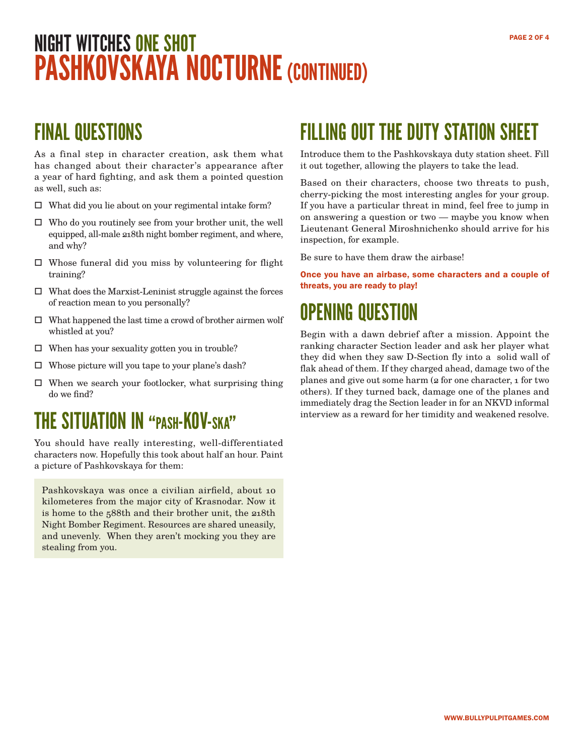# NIGHT WITCHES ONE SHOT PASHKOVSKAYA NOCTURNE (CONTINUED)

#### FINAL QUESTIONS

As a final step in character creation, ask them what has changed about their character's appearance after a year of hard fighting, and ask them a pointed question as well, such as:

- $\Box$  What did you lie about on your regimental intake form?
- $\Box$  Who do you routinely see from your brother unit, the well equipped, all-male 218th night bomber regiment, and where, and why?
- $\square$  Whose funeral did you miss by volunteering for flight training?
- $\Box$  What does the Marxist-Leninist struggle against the forces of reaction mean to you personally?
- $\hfill\Box\;\;$  What happened the last time a crowd of brother airmen wolf whistled at you?
- $\Box$  When has your sexuality gotten you in trouble?
- $\square$  Whose picture will you tape to your plane's dash?
- $\square$  When we search your footlocker, what surprising thing do we find?

#### THE SITUATION IN "pash-KOV-ska"

You should have really interesting, well-differentiated characters now. Hopefully this took about half an hour. Paint a picture of Pashkovskaya for them:

Pashkovskaya was once a civilian airfield, about 10 kilometeres from the major city of Krasnodar. Now it is home to the 588th and their brother unit, the 218th Night Bomber Regiment. Resources are shared uneasily, and unevenly. When they aren't mocking you they are stealing from you.

#### FILLING OUT THE DUTY STATION SHEET

Introduce them to the Pashkovskaya duty station sheet. Fill it out together, allowing the players to take the lead.

Based on their characters, choose two threats to push, cherry-picking the most interesting angles for your group. If you have a particular threat in mind, feel free to jump in on answering a question or two — maybe you know when Lieutenant General Miroshnichenko should arrive for his inspection, for example.

Be sure to have them draw the airbase!

Once you have an airbase, some characters and a couple of threats, you are ready to play!

### OPENING QUESTION

Begin with a dawn debrief after a mission. Appoint the ranking character Section leader and ask her player what they did when they saw D-Section fly into a solid wall of flak ahead of them. If they charged ahead, damage two of the planes and give out some harm (2 for one character, 1 for two others). If they turned back, damage one of the planes and immediately drag the Section leader in for an NKVD informal interview as a reward for her timidity and weakened resolve.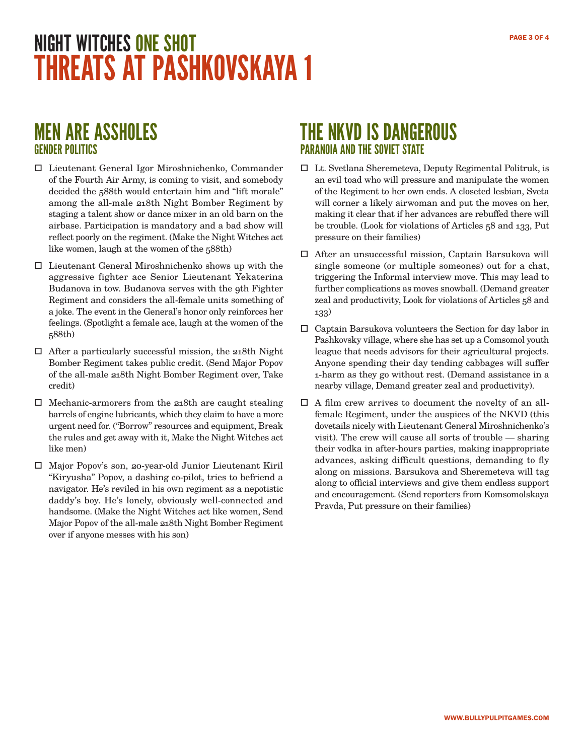## NIGHT WITCHES ONE SHOT THREATS AT PASHKOVSKAYA 1

#### MEN ARE ASSHOLES GENDER POLITICS

- Lieutenant General Igor Miroshnichenko, Commander of the Fourth Air Army, is coming to visit, and somebody decided the 588th would entertain him and "lift morale" among the all-male 218th Night Bomber Regiment by staging a talent show or dance mixer in an old barn on the airbase. Participation is mandatory and a bad show will reflect poorly on the regiment. (Make the Night Witches act like women, laugh at the women of the 588th)
- Lieutenant General Miroshnichenko shows up with the aggressive fighter ace Senior Lieutenant Yekaterina Budanova in tow. Budanova serves with the 9th Fighter Regiment and considers the all-female units something of a joke. The event in the General's honor only reinforces her feelings. (Spotlight a female ace, laugh at the women of the 588th)
- $\Box$  After a particularly successful mission, the 218th Night Bomber Regiment takes public credit. (Send Major Popov of the all-male 218th Night Bomber Regiment over, Take credit)
- $\Box$  Mechanic-armorers from the 218th are caught stealing barrels of engine lubricants, which they claim to have a more urgent need for. ("Borrow" resources and equipment, Break the rules and get away with it, Make the Night Witches act like men)
- Major Popov's son, 20-year-old Junior Lieutenant Kiril "Kiryusha" Popov, a dashing co-pilot, tries to befriend a navigator. He's reviled in his own regiment as a nepotistic daddy's boy. He's lonely, obviously well-connected and handsome. (Make the Night Witches act like women, Send Major Popov of the all-male 218th Night Bomber Regiment over if anyone messes with his son)

#### THE NKVD IS DANGEROUS PARANOIA AND THE SOVIET STATE

- Lt. Svetlana Sheremeteva, Deputy Regimental Politruk, is an evil toad who will pressure and manipulate the women of the Regiment to her own ends. A closeted lesbian, Sveta will corner a likely airwoman and put the moves on her, making it clear that if her advances are rebuffed there will be trouble. (Look for violations of Articles 58 and 133, Put pressure on their families)
- After an unsuccessful mission, Captain Barsukova will single someone (or multiple someones) out for a chat, triggering the Informal interview move. This may lead to further complications as moves snowball. (Demand greater zeal and productivity, Look for violations of Articles 58 and 133)
- $\square$  Captain Barsukova volunteers the Section for day labor in Pashkovsky village, where she has set up a Comsomol youth league that needs advisors for their agricultural projects. Anyone spending their day tending cabbages will suffer 1-harm as they go without rest. (Demand assistance in a nearby village, Demand greater zeal and productivity).
- A film crew arrives to document the novelty of an allfemale Regiment, under the auspices of the NKVD (this dovetails nicely with Lieutenant General Miroshnichenko's visit). The crew will cause all sorts of trouble — sharing their vodka in after-hours parties, making inappropriate advances, asking difficult questions, demanding to fly along on missions. Barsukova and Sheremeteva will tag along to official interviews and give them endless support and encouragement. (Send reporters from Komsomolskaya Pravda, Put pressure on their families)